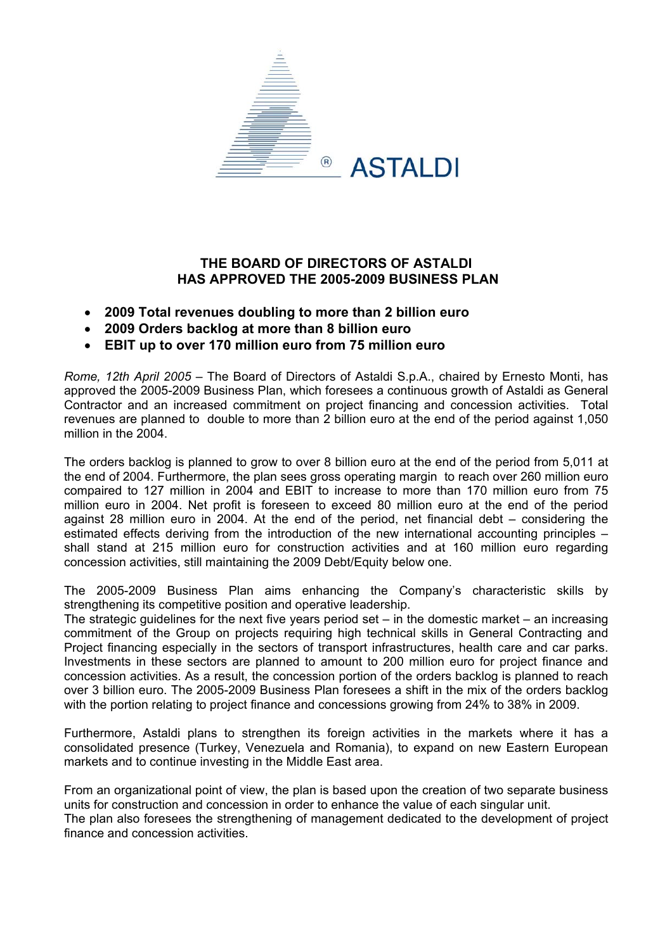

## **THE BOARD OF DIRECTORS OF ASTALDI HAS APPROVED THE 2005-2009 BUSINESS PLAN**

- **2009 Total revenues doubling to more than 2 billion euro**
- **2009 Orders backlog at more than 8 billion euro**
- **EBIT up to over 170 million euro from 75 million euro**

*Rome, 12th April 2005* – The Board of Directors of Astaldi S.p.A., chaired by Ernesto Monti, has approved the 2005-2009 Business Plan, which foresees a continuous growth of Astaldi as General Contractor and an increased commitment on project financing and concession activities. Total revenues are planned to double to more than 2 billion euro at the end of the period against 1,050 million in the 2004.

The orders backlog is planned to grow to over 8 billion euro at the end of the period from 5,011 at the end of 2004. Furthermore, the plan sees gross operating margin to reach over 260 million euro compaired to 127 million in 2004 and EBIT to increase to more than 170 million euro from 75 million euro in 2004. Net profit is foreseen to exceed 80 million euro at the end of the period against 28 million euro in 2004. At the end of the period, net financial debt – considering the estimated effects deriving from the introduction of the new international accounting principles – shall stand at 215 million euro for construction activities and at 160 million euro regarding concession activities, still maintaining the 2009 Debt/Equity below one.

The 2005-2009 Business Plan aims enhancing the Company's characteristic skills by strengthening its competitive position and operative leadership.

The strategic guidelines for the next five years period set  $-$  in the domestic market  $-$  an increasing commitment of the Group on projects requiring high technical skills in General Contracting and Project financing especially in the sectors of transport infrastructures, health care and car parks. Investments in these sectors are planned to amount to 200 million euro for project finance and concession activities. As a result, the concession portion of the orders backlog is planned to reach over 3 billion euro. The 2005-2009 Business Plan foresees a shift in the mix of the orders backlog with the portion relating to project finance and concessions growing from 24% to 38% in 2009.

Furthermore, Astaldi plans to strengthen its foreign activities in the markets where it has a consolidated presence (Turkey, Venezuela and Romania), to expand on new Eastern European markets and to continue investing in the Middle East area.

From an organizational point of view, the plan is based upon the creation of two separate business units for construction and concession in order to enhance the value of each singular unit.

The plan also foresees the strengthening of management dedicated to the development of project finance and concession activities.